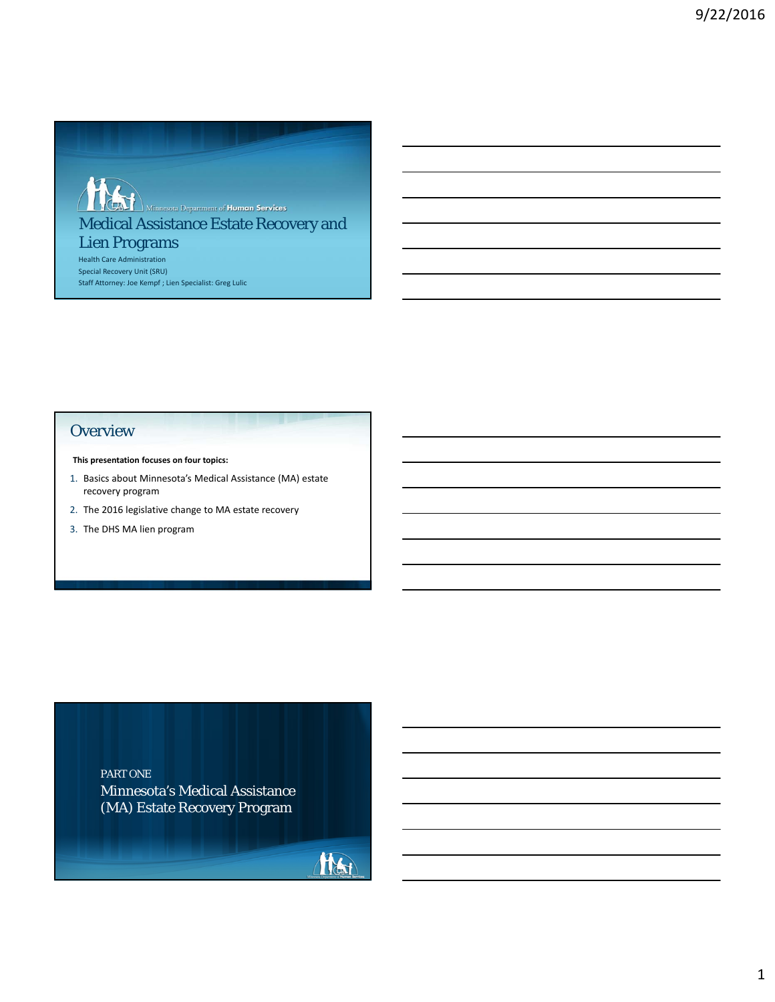

# Medical Assistance Estate Recovery and Lien Programs

Health Care Administration Special Recovery Unit (SRU) Staff Attorney: Joe Kempf ; Lien Specialist: Greg Lulic

### **Overview**

**This presentation focuses on four topics:**

- 1. Basics about Minnesota's Medical Assistance (MA) estate recovery program
- 2. The 2016 legislative change to MA estate recovery
- 3. The DHS MA lien program

Minnesota's Medical Assistance (MA) Estate Recovery Program PART ONE

Hotel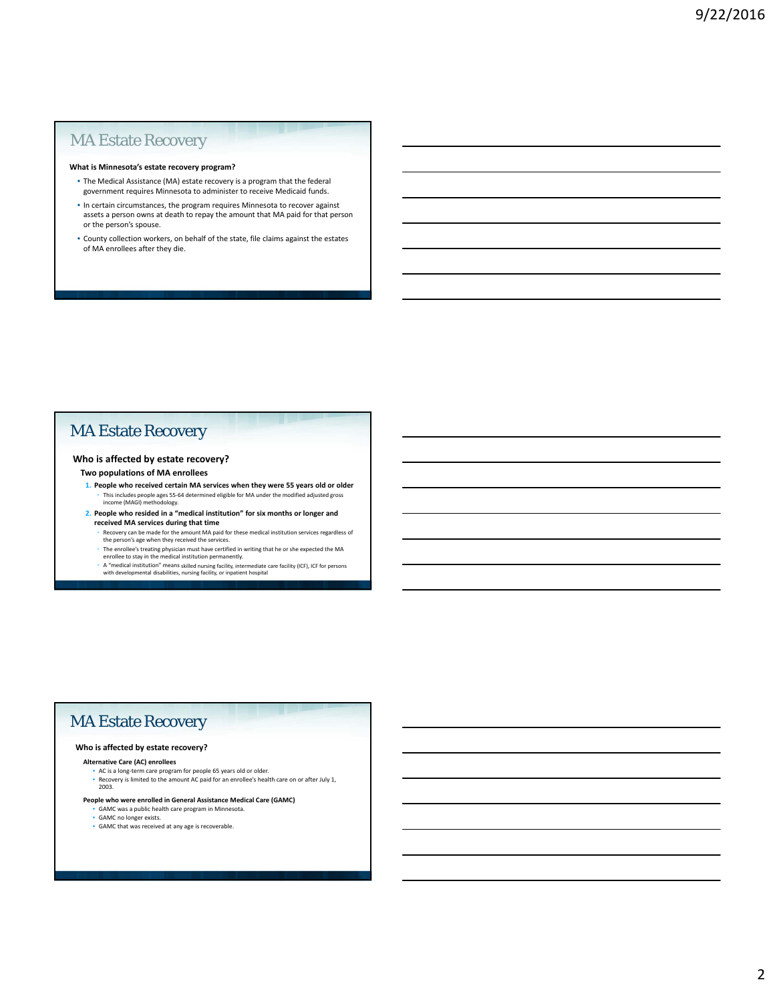### MA Estate Recovery

#### **What is Minnesota's estate recovery program?**

- The Medical Assistance (MA) estate recovery is a program that the federal government requires Minnesota to administer to receive Medicaid funds.
- In certain circumstances, the program requires Minnesota to recover against assets a person owns at death to repay the amount that MA paid for that person or the person's spouse.
- County collection workers, on behalf of the state, file claims against the estates of MA enrollees after they die.

### MA Estate Recovery

#### **Who is affected by estate recovery?**

#### **Two populations of MA enrollees**

- **1. People who received certain MA services when they were 55 years old or older** • This includes people ages 55-64 determined eligible for MA under the modified adjusted gross income (MAGI) methodology.
- **2. People who resided in a "medical institution" for six months or longer and received MA services during that time**
	- Recovery can be made for the amount MA paid for these medical institution services regardless of the person's age when they received the services.
	- The enrollee's treating physician must have certified in writing that he or she expected the MA enrollee to stay in the medical institution permanently.<br>"A "medical institution" means skilled nursing facility, intermediate
	-

### MA Estate Recovery

#### **Who is affected by estate recovery?**

#### **Alternative Care (AC) enrollees**

• AC is a long-term care program for people 65 years old or older. • Recovery is limited to the amount AC paid for an enrollee's health care on or after July 1, 2003.

- **People who were enrolled in General Assistance Medical Care (GAMC)** GAMC was a public health care program in Minnesota.
	- GAMC no longer exists.
	- GAMC that was received at any age is recoverable.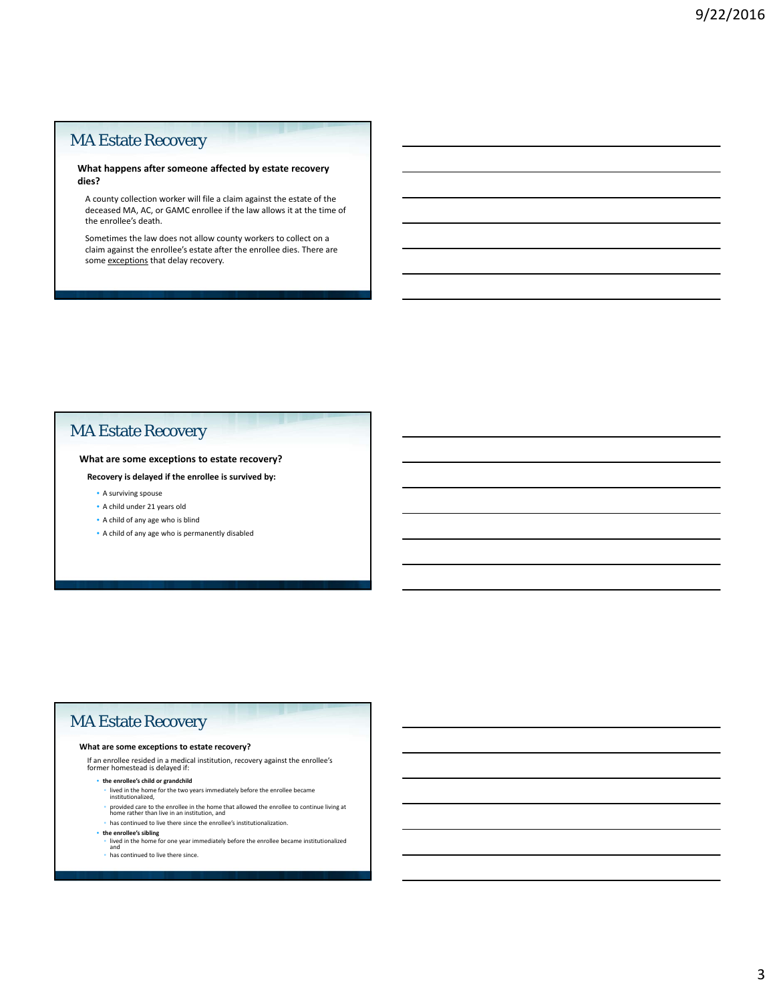### MA Estate Recovery

#### **What happens after someone affected by estate recovery dies?**

A county collection worker will file a claim against the estate of the deceased MA, AC, or GAMC enrollee if the law allows it at the time of the enrollee's death.

Sometimes the law does not allow county workers to collect on a claim against the enrollee's estate after the enrollee dies. There are some exceptions that delay recovery.

### MA Estate Recovery

### **What are some exceptions to estate recovery?**

**Recovery is delayed if the enrollee is survived by:**

- A surviving spouse
- A child under 21 years old
- A child of any age who is blind
- A child of any age who is permanently disabled

### MA Estate Recovery

#### **What are some exceptions to estate recovery?**

If an enrollee resided in a medical institution, recovery against the enrollee's former homestead is delayed if:

- **the enrollee's child or grandchild** 
	- lived in the home for the two years immediately before the enrollee became institutionalized,
	- provided care to the enrollee in the home that allowed the enrollee to continue living at home rather than live in an institution, and
- has continued to live there since the enrollee's institutionalization.
- 
- **the enrollee's sibling**  lived in the home for one year immediately before the enrollee became institutionalized and
- has continued to live there since.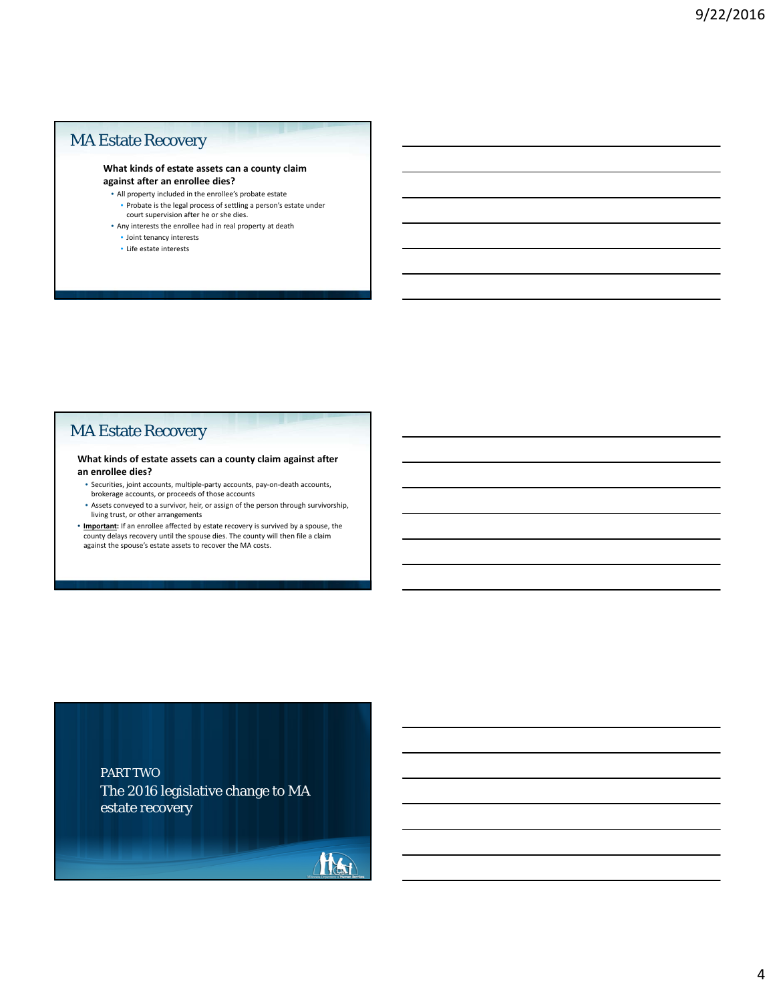### MA Estate Recovery

#### **What kinds of estate assets can a county claim against after an enrollee dies?**

• All property included in the enrollee's probate estate

- Probate is the legal process of settling a person's estate under court supervision after he or she dies.
- Any interests the enrollee had in real property at death
- Joint tenancy interests
- Life estate interests

### MA Estate Recovery

#### **What kinds of estate assets can a county claim against after an enrollee dies?**

- Securities, joint accounts, multiple-party accounts, pay-on-death accounts, brokerage accounts, or proceeds of those accounts
- Assets conveyed to a survivor, heir, or assign of the person through survivorship, living trust, or other arrangements
- **Important:** If an enrollee affected by estate recovery is survived by a spouse, the county delays recovery until the spouse dies. The county will then file a claim against the spouse's estate assets to recover the MA costs.

### PART TWO

The 2016 legislative change to MA estate recovery

Har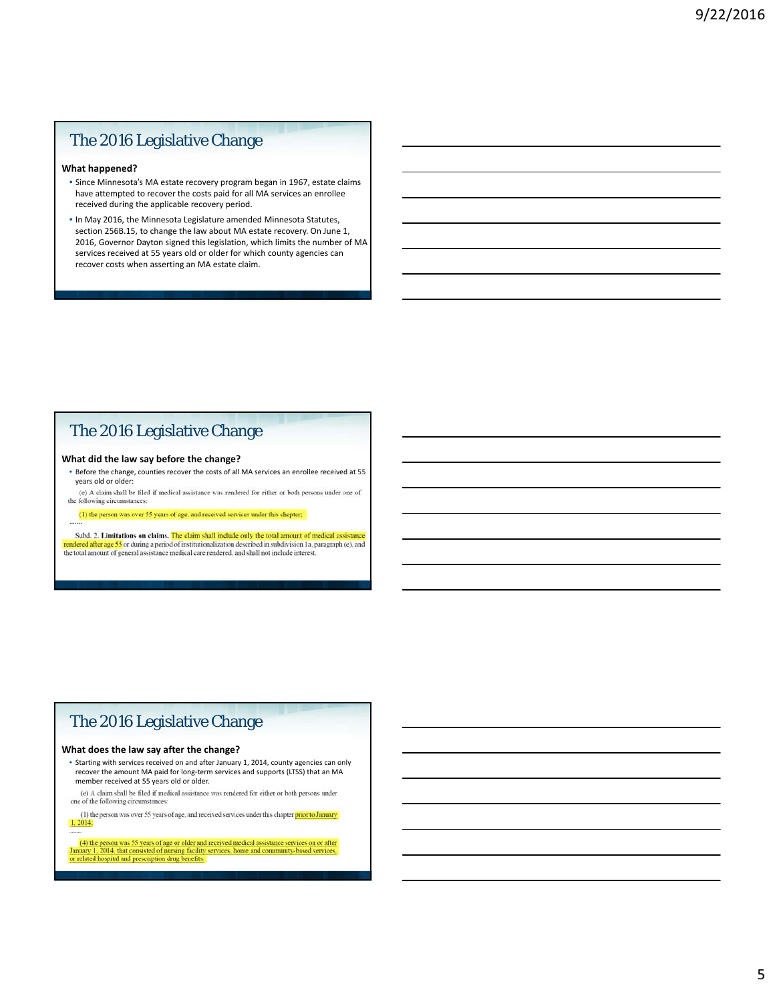### The 2016 Legislative Change

#### **What happened?**

- Since Minnesota's MA estate recovery program began in 1967, estate claims have attempted to recover the costs paid for all MA services an enrollee received during the applicable recovery period.
- In May 2016, the Minnesota Legislature amended Minnesota Statutes, section 256B.15, to change the law about MA estate recovery. On June 1, 2016, Governor Dayton signed this legislation, which limits the number of MA services received at 55 years old or older for which county agencies can recover costs when asserting an MA estate claim.

## The 2016 Legislative Change

#### **What did the law say before the change?**

……

- Before the change, counties recover the costs of all MA services an enrollee received at 55 years old or older:<br>(e) A claim shall be filed if medical assistance was rendered for either or both persons under one of
- the following circumstances:
- 

Subd. 2. Limitations on claims. The claim shall include only the total amount of medical assistance rendered after age 55 or during a period of institutionalization described in subdivision 1a, paragraph (e), and<br>the total amount of general assistance medical care rendered, and shall not include interest.

### The 2016 Legislative Change

#### **What does the law say after the change?**

- Starting with services received on and after January 1, 2014, county agencies can only recover the amount MA paid for long-term services and supports (LTSS) that an MA member received at 55 years old or older.<br>(e) A claim shall be filed if medical assistance was rendered for either or both persons under
- one of the following circumstances

(1) the person was over 55 years of age, and received services under this chapter prior to January  $1, 2014;$ 

(4) the person was 55 years of age or older and received medical assistance services on or after January 1, 2014, that consisted of nursing facility services, home and community-based services, or related hospital and pres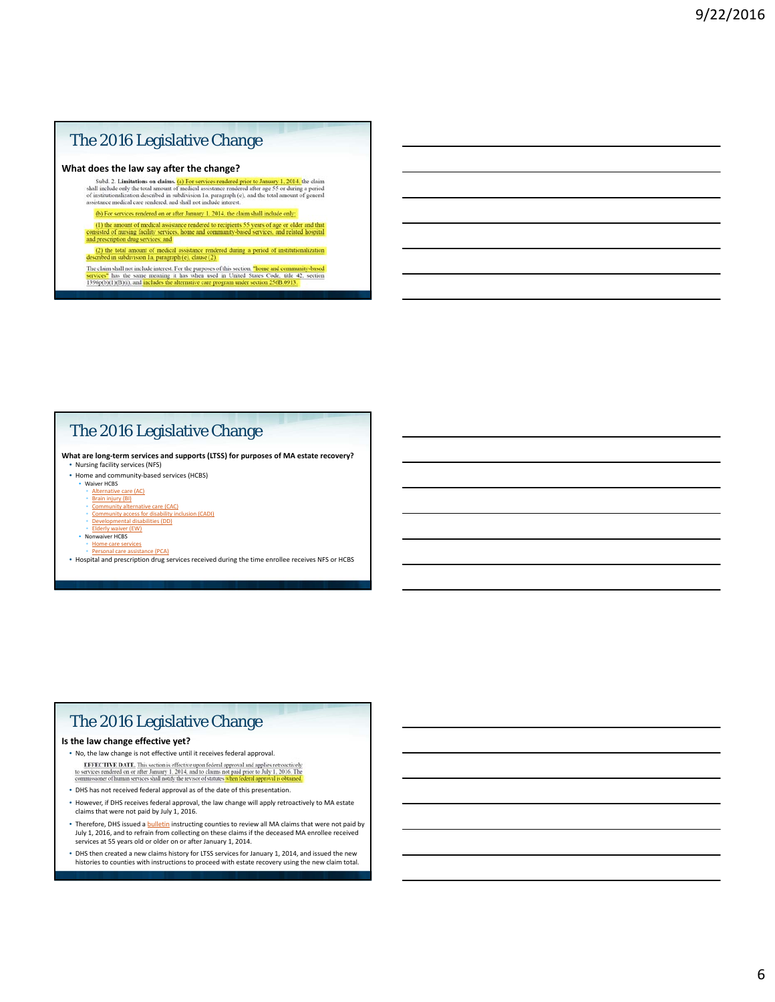### The 2016 Legislative Change

**What does the law say after the change?**<br>Subd. 2. Limitations on claims. (a) For services rendered prior to January 1, 2014, the claim shall include only the total amount of medical assistance rendered after age 55 or dur

(b) For services rendered on or after January 1, 2014, the claim shall include only:

(b) total services remeted on or and standary 1, 2014, the claim start include only.<br>
(1) the amount of medical assistance rendered to recipients 55 years of age or older and that<br>
(consisted of nursing facility services,

(2) the total amount of medical assistance rendered during a period of institutionalization seribed in subdivision Ia, paragraph (e), clause (2).

The claim shall not include interest. For the purposes of this section. "home and community-based services" has the same meaning it has when used in United States Code, title 42, section 1396p(b)(1)(B)(1), and includes the

### The 2016 Legislative Change

**What are long-term services and supports (LTSS) for purposes of MA estate recovery?** • Nursing facility services (NFS)

- Home and community-based services (HCBS)
- Waiver HCBS

#### • Alternative care (AC)

- Brain injury (BI) Community alternative care (CAC)
- Community access for disability inclusion (CADI) Developmental disabilities (DD)
- Elderly waiver (EW)
- 
- Nonwaiver HCBS<br>• Home care services
- e (PCA) • Hospital and prescription drug services received during the time enrollee receives NFS or HCBS

### The 2016 Legislative Change

#### **Is the law change effective yet?**

- No, the law change is not effective until it receives federal approval.<br> **EFFECTIVE DATE**, This section is effective upon federal approval and applies retroactively<br>
to services rediered on or after January 1, 2014, and
- DHS has not received federal approval as of the date of this presentation.
- However, if DHS receives federal approval, the law change will apply retroactively to MA estate claims that were not paid by July 1, 2016.
- Therefore, DHS issued a **bulletin** instructing counties to review all MA claims that were not paid by July 1, 2016, and to refrain from collecting on these claims if the deceased MA enrollee received services at 55 years old or older on or after January 1, 2014.
- DHS then created a new claims history for LTSS services for January 1, 2014, and issued the new histories to counties with instructions to proceed with estate recovery using the new claim total.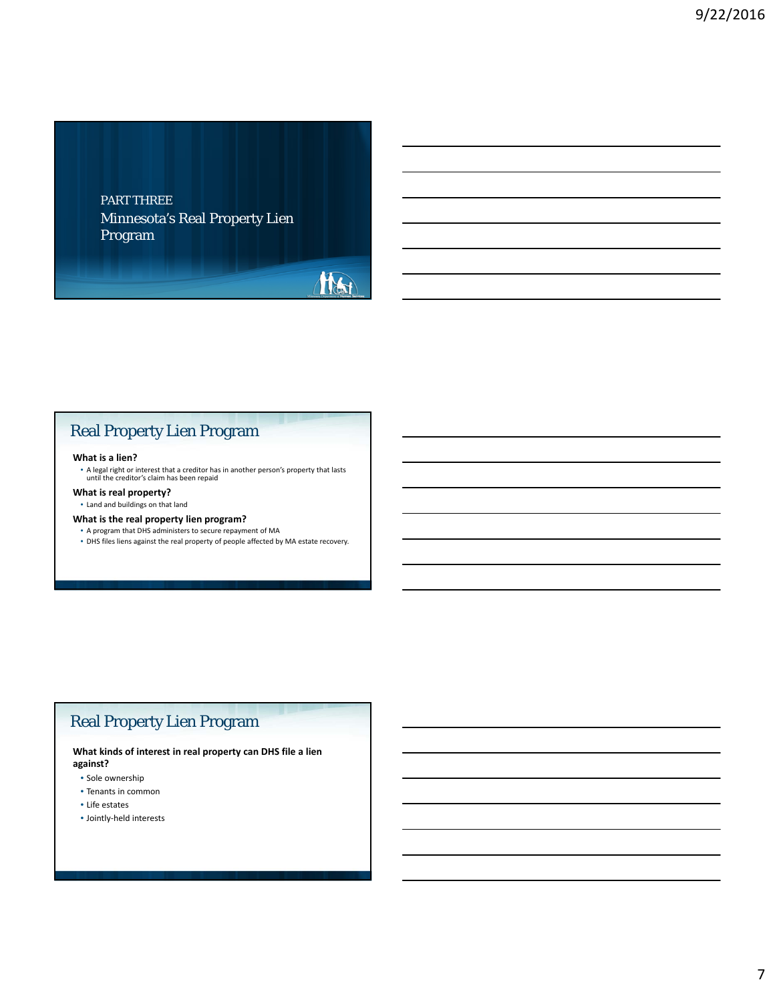### Minnesota's Real Property Lien Program PART THREE



## Real Property Lien Program

#### **What is a lien?**

• A legal right or interest that a creditor has in another person's property that lasts until the creditor's claim has been repaid

#### **What is real property?**

• Land and buildings on that land

#### **What is the real property lien program?**

• A program that DHS administers to secure repayment of MA • DHS files liens against the real property of people affected by MA estate recovery.

### Real Property Lien Program

**What kinds of interest in real property can DHS file a lien against?**

- Sole ownership
- Tenants in common
- Life estates
- Jointly-held interests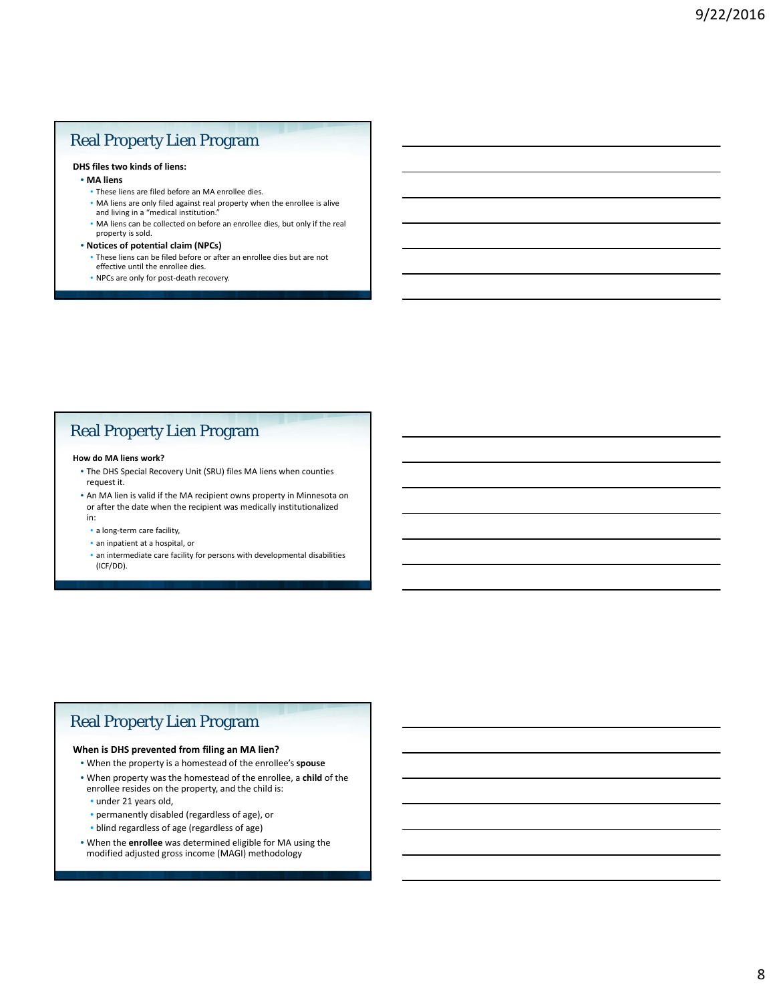## Real Property Lien Program

#### **DHS files two kinds of liens:**

- **MA liens**
	- These liens are filed before an MA enrollee dies.
	- MA liens are only filed against real property when the enrollee is alive and living in a "medical institution."
	- MA liens can be collected on before an enrollee dies, but only if the real property is sold.
- **Notices of potential claim (NPCs)**
	- These liens can be filed before or after an enrollee dies but are not effective until the enrollee dies.
	- NPCs are only for post-death recovery.

### Real Property Lien Program

#### **How do MA liens work?**

- The DHS Special Recovery Unit (SRU) files MA liens when counties request it.
- An MA lien is valid if the MA recipient owns property in Minnesota on or after the date when the recipient was medically institutionalized in:
	- a long-term care facility,
	- an inpatient at a hospital, or
	- an intermediate care facility for persons with developmental disabilities (ICF/DD).

### Real Property Lien Program

#### **When is DHS prevented from filing an MA lien?**

- When the property is a homestead of the enrollee's **spouse**
- When property was the homestead of the enrollee, a **child** of the enrollee resides on the property, and the child is:
	- under 21 years old,
	- permanently disabled (regardless of age), or
	- blind regardless of age (regardless of age)
- When the **enrollee** was determined eligible for MA using the modified adjusted gross income (MAGI) methodology